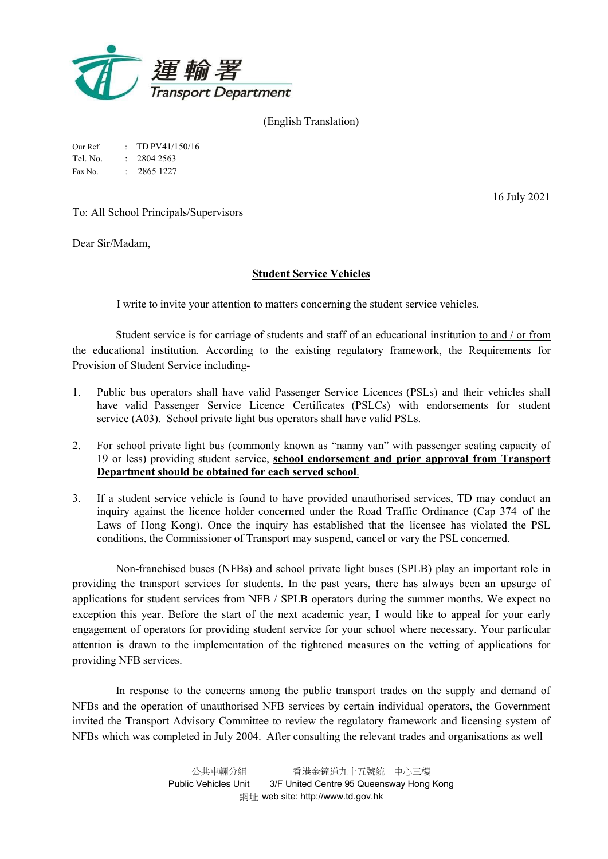

(English Translation)

| Our Ref. | $\pm$ TD PV41/150/16   |
|----------|------------------------|
| Tel. No. | $\therefore$ 2804 2563 |

Fax No. : 2865 1227

16 July 2021

To: All School Principals/Supervisors

Dear Sir/Madam,

# Student Service Vehicles

I write to invite your attention to matters concerning the student service vehicles.

Student service is for carriage of students and staff of an educational institution to and / or from the educational institution. According to the existing regulatory framework, the Requirements for Provision of Student Service including-

- 1. Public bus operators shall have valid Passenger Service Licences (PSLs) and their vehicles shall have valid Passenger Service Licence Certificates (PSLCs) with endorsements for student service (A03). School private light bus operators shall have valid PSLs.
- 2. For school private light bus (commonly known as "nanny van" with passenger seating capacity of 19 or less) providing student service, school endorsement and prior approval from Transport Department should be obtained for each served school.
- 3. If a student service vehicle is found to have provided unauthorised services, TD may conduct an inquiry against the licence holder concerned under the Road Traffic Ordinance (Cap 374 of the Laws of Hong Kong). Once the inquiry has established that the licensee has violated the PSL conditions, the Commissioner of Transport may suspend, cancel or vary the PSL concerned.

Non-franchised buses (NFBs) and school private light buses (SPLB) play an important role in providing the transport services for students. In the past years, there has always been an upsurge of applications for student services from NFB / SPLB operators during the summer months. We expect no exception this year. Before the start of the next academic year, I would like to appeal for your early engagement of operators for providing student service for your school where necessary. Your particular attention is drawn to the implementation of the tightened measures on the vetting of applications for providing NFB services.

In response to the concerns among the public transport trades on the supply and demand of NFBs and the operation of unauthorised NFB services by certain individual operators, the Government invited the Transport Advisory Committee to review the regulatory framework and licensing system of NFBs which was completed in July 2004. After consulting the relevant trades and organisations as well

> 公共車輛分組 香港金鐘道九十五號統一中心三樓 Public Vehicles Unit 3/F United Centre 95 Queensway Hong Kong 網址 web site: http://www.td.gov.hk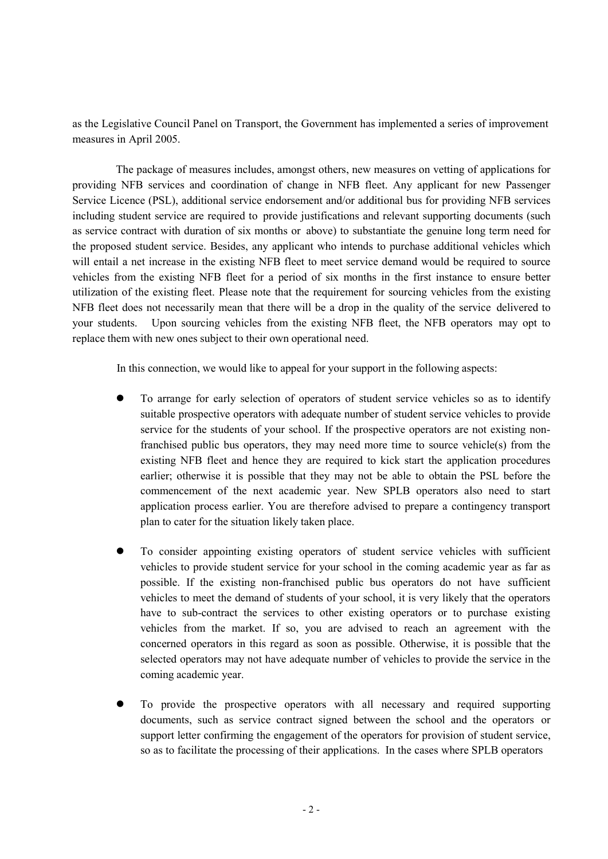as the Legislative Council Panel on Transport, the Government has implemented a series of improvement measures in April 2005.

The package of measures includes, amongst others, new measures on vetting of applications for providing NFB services and coordination of change in NFB fleet. Any applicant for new Passenger Service Licence (PSL), additional service endorsement and/or additional bus for providing NFB services including student service are required to provide justifications and relevant supporting documents (such as service contract with duration of six months or above) to substantiate the genuine long term need for the proposed student service. Besides, any applicant who intends to purchase additional vehicles which will entail a net increase in the existing NFB fleet to meet service demand would be required to source vehicles from the existing NFB fleet for a period of six months in the first instance to ensure better utilization of the existing fleet. Please note that the requirement for sourcing vehicles from the existing NFB fleet does not necessarily mean that there will be a drop in the quality of the service delivered to your students. Upon sourcing vehicles from the existing NFB fleet, the NFB operators may opt to replace them with new ones subject to their own operational need.

In this connection, we would like to appeal for your support in the following aspects:

- To arrange for early selection of operators of student service vehicles so as to identify suitable prospective operators with adequate number of student service vehicles to provide service for the students of your school. If the prospective operators are not existing nonfranchised public bus operators, they may need more time to source vehicle(s) from the existing NFB fleet and hence they are required to kick start the application procedures earlier; otherwise it is possible that they may not be able to obtain the PSL before the commencement of the next academic year. New SPLB operators also need to start application process earlier. You are therefore advised to prepare a contingency transport plan to cater for the situation likely taken place.
- To consider appointing existing operators of student service vehicles with sufficient vehicles to provide student service for your school in the coming academic year as far as possible. If the existing non-franchised public bus operators do not have sufficient vehicles to meet the demand of students of your school, it is very likely that the operators have to sub-contract the services to other existing operators or to purchase existing vehicles from the market. If so, you are advised to reach an agreement with the concerned operators in this regard as soon as possible. Otherwise, it is possible that the selected operators may not have adequate number of vehicles to provide the service in the coming academic year.
- To provide the prospective operators with all necessary and required supporting documents, such as service contract signed between the school and the operators or support letter confirming the engagement of the operators for provision of student service, so as to facilitate the processing of their applications. In the cases where SPLB operators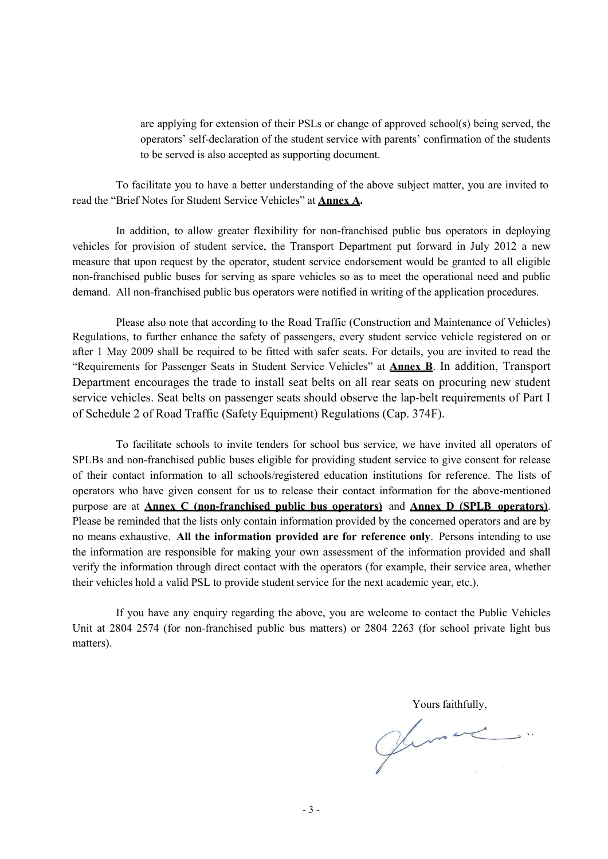are applying for extension of their PSLs or change of approved school(s) being served, the operators' self-declaration of the student service with parents' confirmation of the students to be served is also accepted as supporting document.

To facilitate you to have a better understanding of the above subject matter, you are invited to read the "Brief Notes for Student Service Vehicles" at Annex A.

In addition, to allow greater flexibility for non-franchised public bus operators in deploying vehicles for provision of student service, the Transport Department put forward in July 2012 a new measure that upon request by the operator, student service endorsement would be granted to all eligible non-franchised public buses for serving as spare vehicles so as to meet the operational need and public demand. All non-franchised public bus operators were notified in writing of the application procedures.

Please also note that according to the Road Traffic (Construction and Maintenance of Vehicles) Regulations, to further enhance the safety of passengers, every student service vehicle registered on or after 1 May 2009 shall be required to be fitted with safer seats. For details, you are invited to read the "Requirements for Passenger Seats in Student Service Vehicles" at Annex B. In addition, Transport Department encourages the trade to install seat belts on all rear seats on procuring new student service vehicles. Seat belts on passenger seats should observe the lap-belt requirements of Part I of Schedule 2 of Road Traffic (Safety Equipment) Regulations (Cap. 374F).

To facilitate schools to invite tenders for school bus service, we have invited all operators of SPLBs and non-franchised public buses eligible for providing student service to give consent for release of their contact information to all schools/registered education institutions for reference. The lists of operators who have given consent for us to release their contact information for the above-mentioned purpose are at Annex C (non-franchised public bus operators) and Annex D (SPLB operators). Please be reminded that the lists only contain information provided by the concerned operators and are by no means exhaustive. All the information provided are for reference only. Persons intending to use the information are responsible for making your own assessment of the information provided and shall verify the information through direct contact with the operators (for example, their service area, whether their vehicles hold a valid PSL to provide student service for the next academic year, etc.).

If you have any enquiry regarding the above, you are welcome to contact the Public Vehicles Unit at 2804 2574 (for non-franchised public bus matters) or 2804 2263 (for school private light bus matters).

Yours faithfully,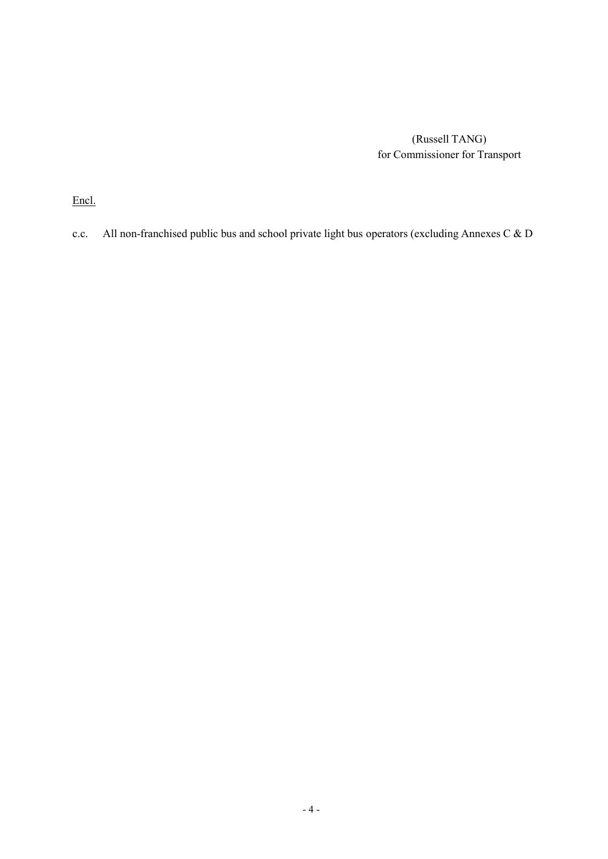(Russell TANG) for Commissioner for Transport

Encl.

c.c. All non-franchised public bus and school private light bus operators (excluding Annexes C & D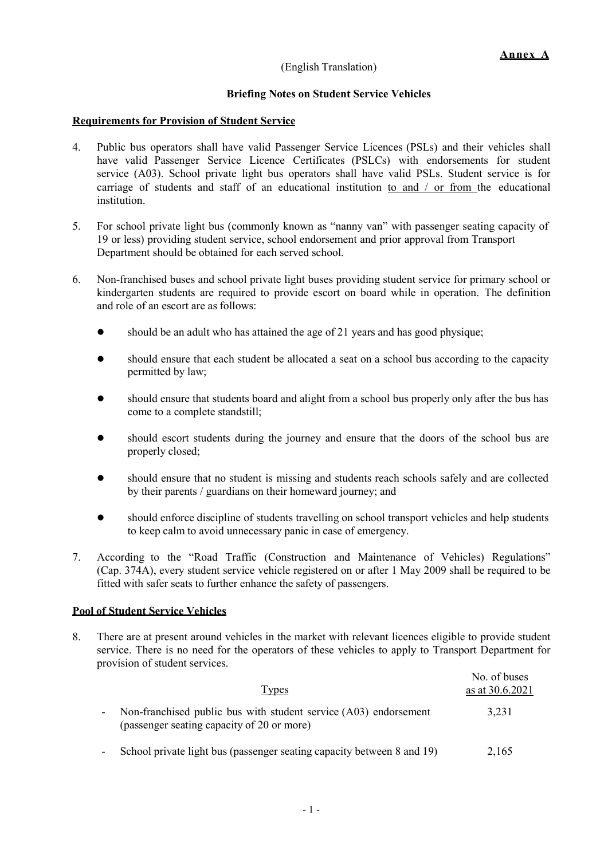# (English Translation)

# Briefing Notes on Student Service Vehicles

### Requirements for Provision of Student Service

- 4. Public bus operators shall have valid Passenger Service Licences (PSLs) and their vehicles shall have valid Passenger Service Licence Certificates (PSLCs) with endorsements for student service (A03). School private light bus operators shall have valid PSLs. Student service is for carriage of students and staff of an educational institution to and / or from the educational institution.
- 5. For school private light bus (commonly known as "nanny van" with passenger seating capacity of 19 or less) providing student service, school endorsement and prior approval from Transport Department should be obtained for each served school.
- 6. Non-franchised buses and school private light buses providing student service for primary school or kindergarten students are required to provide escort on board while in operation. The definition and role of an escort are as follows:
	- should be an adult who has attained the age of 21 years and has good physique;
	- should ensure that each student be allocated a seat on a school bus according to the capacity permitted by law;
	- should ensure that students board and alight from a school bus properly only after the bus has come to a complete standstill;
	- should escort students during the journey and ensure that the doors of the school bus are properly closed;
	- should ensure that no student is missing and students reach schools safely and are collected by their parents / guardians on their homeward journey; and
	- should enforce discipline of students travelling on school transport vehicles and help students to keep calm to avoid unnecessary panic in case of emergency.
- 7. According to the "Road Traffic (Construction and Maintenance of Vehicles) Regulations" (Cap. 374A), every student service vehicle registered on or after 1 May 2009 shall be required to be fitted with safer seats to further enhance the safety of passengers.

# Pool of Student Service Vehicles

8. There are at present around vehicles in the market with relevant licences eligible to provide student service. There is no need for the operators of these vehicles to apply to Transport Department for provision of student services.

| Types                                                                                                          | No. of buses<br>as at 30.6.2021 |
|----------------------------------------------------------------------------------------------------------------|---------------------------------|
| Non-franchised public bus with student service (A03) endorsement<br>(passenger seating capacity of 20 or more) | 3.231                           |
| School private light bus (passenger seating capacity between 8 and 19)                                         | 2,165                           |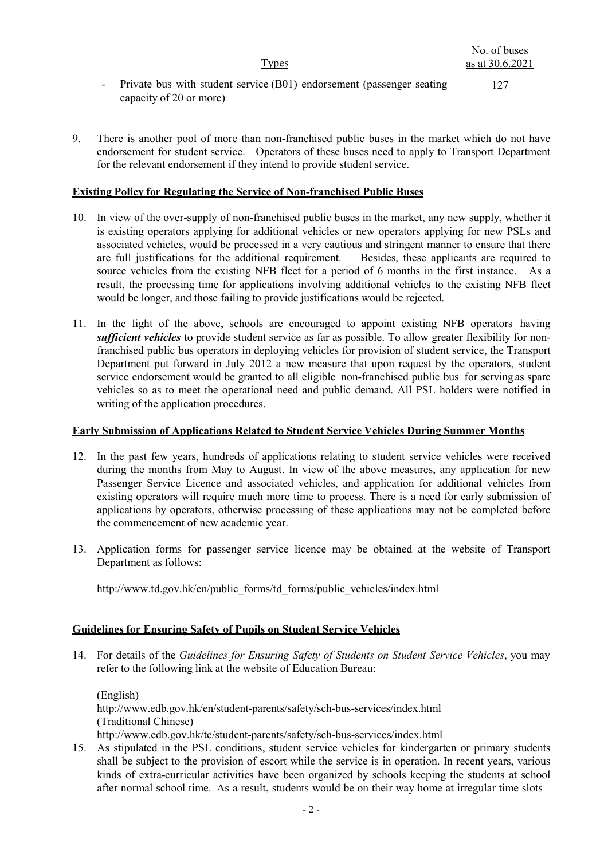**Types** 

127

- Private bus with student service (B01) endorsement (passenger seating capacity of 20 or more)
- 9. There is another pool of more than non-franchised public buses in the market which do not have endorsement for student service. Operators of these buses need to apply to Transport Department for the relevant endorsement if they intend to provide student service.

### Existing Policy for Regulating the Service of Non-franchised Public Buses

- 10. In view of the over-supply of non-franchised public buses in the market, any new supply, whether it is existing operators applying for additional vehicles or new operators applying for new PSLs and associated vehicles, would be processed in a very cautious and stringent manner to ensure that there are full justifications for the additional requirement. Besides, these applicants are required to source vehicles from the existing NFB fleet for a period of 6 months in the first instance. As a result, the processing time for applications involving additional vehicles to the existing NFB fleet would be longer, and those failing to provide justifications would be rejected.
- 11. In the light of the above, schools are encouraged to appoint existing NFB operators having sufficient vehicles to provide student service as far as possible. To allow greater flexibility for nonfranchised public bus operators in deploying vehicles for provision of student service, the Transport Department put forward in July 2012 a new measure that upon request by the operators, student service endorsement would be granted to all eligible non-franchised public bus for serving as spare vehicles so as to meet the operational need and public demand. All PSL holders were notified in writing of the application procedures.

### Early Submission of Applications Related to Student Service Vehicles During Summer Months

- 12. In the past few years, hundreds of applications relating to student service vehicles were received during the months from May to August. In view of the above measures, any application for new Passenger Service Licence and associated vehicles, and application for additional vehicles from existing operators will require much more time to process. There is a need for early submission of applications by operators, otherwise processing of these applications may not be completed before the commencement of new academic year.
- 13. Application forms for passenger service licence may be obtained at the website of Transport Department as follows:

http://www.td.gov.hk/en/public\_forms/td\_forms/public\_vehicles/index.html

# Guidelines for Ensuring Safety of Pupils on Student Service Vehicles

14. For details of the Guidelines for Ensuring Safety of Students on Student Service Vehicles, you may refer to the following link at the website of Education Bureau:

(English) http://www.edb.gov.hk/en/student-parents/safety/sch-bus-services/index.html (Traditional Chinese) http://www.edb.gov.hk/tc/student-parents/safety/sch-bus-services/index.html

15. As stipulated in the PSL conditions, student service vehicles for kindergarten or primary students shall be subject to the provision of escort while the service is in operation. In recent years, various kinds of extra-curricular activities have been organized by schools keeping the students at school after normal school time. As a result, students would be on their way home at irregular time slots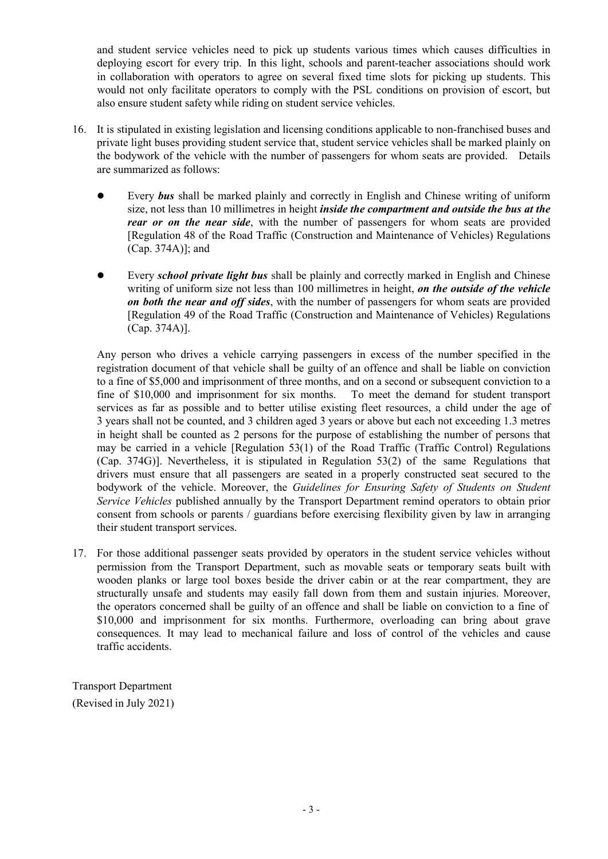and student service vehicles need to pick up students various times which causes difficulties in deploying escort for every trip. In this light, schools and parent-teacher associations should work in collaboration with operators to agree on several fixed time slots for picking up students. This would not only facilitate operators to comply with the PSL conditions on provision of escort, but also ensure student safety while riding on student service vehicles.

- 16. It is stipulated in existing legislation and licensing conditions applicable to non-franchised buses and private light buses providing student service that, student service vehicles shall be marked plainly on the bodywork of the vehicle with the number of passengers for whom seats are provided. Details are summarized as follows:
	- Every bus shall be marked plainly and correctly in English and Chinese writing of uniform size, not less than 10 millimetres in height *inside the compartment and outside the bus at the* rear or on the near side, with the number of passengers for whom seats are provided [Regulation 48 of the Road Traffic (Construction and Maintenance of Vehicles) Regulations (Cap. 374A)]; and
	- Every school private light bus shall be plainly and correctly marked in English and Chinese writing of uniform size not less than 100 millimetres in height, on the outside of the vehicle on both the near and off sides, with the number of passengers for whom seats are provided [Regulation 49 of the Road Traffic (Construction and Maintenance of Vehicles) Regulations (Cap. 374A)].

Any person who drives a vehicle carrying passengers in excess of the number specified in the registration document of that vehicle shall be guilty of an offence and shall be liable on conviction to a fine of \$5,000 and imprisonment of three months, and on a second or subsequent conviction to a fine of \$10,000 and imprisonment for six months. To meet the demand for student transport services as far as possible and to better utilise existing fleet resources, a child under the age of 3 years shall not be counted, and 3 children aged 3 years or above but each not exceeding 1.3 metres in height shall be counted as 2 persons for the purpose of establishing the number of persons that may be carried in a vehicle [Regulation 53(1) of the Road Traffic (Traffic Control) Regulations (Cap. 374G)]. Nevertheless, it is stipulated in Regulation 53(2) of the same Regulations that drivers must ensure that all passengers are seated in a properly constructed seat secured to the bodywork of the vehicle. Moreover, the Guidelines for Ensuring Safety of Students on Student Service Vehicles published annually by the Transport Department remind operators to obtain prior consent from schools or parents / guardians before exercising flexibility given by law in arranging their student transport services.

17. For those additional passenger seats provided by operators in the student service vehicles without permission from the Transport Department, such as movable seats or temporary seats built with wooden planks or large tool boxes beside the driver cabin or at the rear compartment, they are structurally unsafe and students may easily fall down from them and sustain injuries. Moreover, the operators concerned shall be guilty of an offence and shall be liable on conviction to a fine of \$10,000 and imprisonment for six months. Furthermore, overloading can bring about grave consequences. It may lead to mechanical failure and loss of control of the vehicles and cause traffic accidents.

Transport Department (Revised in July 2021)